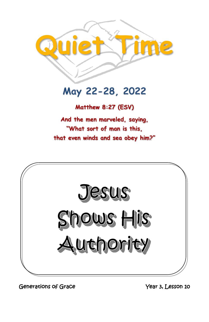

# May 22-28, 2022

**Matthew 8:27 (ESV)** 

**And the men marveled, saying, "What sort of man is this, that even winds and sea obey him?"**



Generations of Grace Year 3, Lesson 10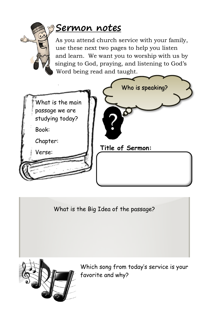

## **Sermon notes**

As you attend church service with your family, use these next two pages to help you listen and learn. We want you to worship with us by singing to God, praying, and listening to God's Word being read and taught.



What is the Big Idea of the passage?



Which song from today's service is your favorite and why?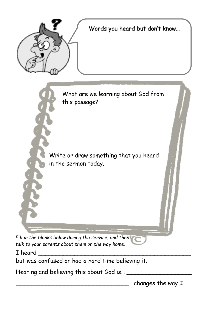

Words you heard but don't know…



\_\_\_\_\_\_\_\_\_\_\_\_\_\_\_\_\_\_\_\_\_\_\_\_\_\_\_\_\_\_\_\_\_\_\_\_\_\_\_\_\_\_\_\_\_\_\_\_

*Fill in the blanks below during the service, and then talk to your parents about them on the way home.*

I heard

but was confused or had a hard time believing it.

Hearing and believing this about God is… \_\_\_\_\_\_\_\_\_\_\_\_\_\_\_\_\_\_

 $\frac{1}{\sqrt{2}}$  ... changes the way I…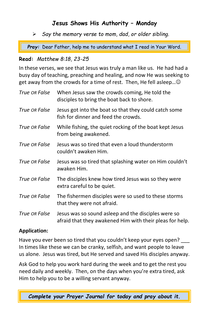## **Jesus Shows His Authority – Monday**

➢ *Say the memory verse to mom, dad, or older sibling.*

*Pray:* Dear Father, help me to understand what I read in Your Word.

#### **Read:** *Matthew 8:18, 23-25*

In these verses, we see that Jesus was truly a man like us. He had had a busy day of teaching, preaching and healing, and now He was seeking to get away from the crowds for a time of rest. Then, He fell asleep... $\odot$ 

| True OR False | When Jesus saw the crowds coming, He told the<br>disciples to bring the boat back to shore.                     |
|---------------|-----------------------------------------------------------------------------------------------------------------|
| True OR False | Jesus got into the boat so that they could catch some<br>fish for dinner and feed the crowds.                   |
| True OR False | While fishing, the quiet rocking of the boat kept Jesus<br>from being awakened.                                 |
| True OR False | Jesus was so tired that even a loud thunderstorm<br>couldn't awaken Him.                                        |
| True OR False | Jesus was so tired that splashing water on Him couldn't<br>awaken Him.                                          |
| True OR False | The disciples knew how tired Jesus was so they were<br>extra careful to be quiet.                               |
| True OR False | The fishermen disciples were so used to these storms<br>that they were not afraid.                              |
| True OR False | Jesus was so sound asleep and the disciples were so<br>afraid that they awakened Him with their pleas for help. |

#### **Application:**

Have you ever been so tired that you couldn't keep your eyes open? \_\_\_ In times like these we can be cranky, selfish, and want people to leave us alone. Jesus was tired, but He served and saved His disciples anyway.

Ask God to help you work hard during the week and to get the rest you need daily and weekly. Then, on the days when you're extra tired, ask Him to help you to be a willing servant anyway.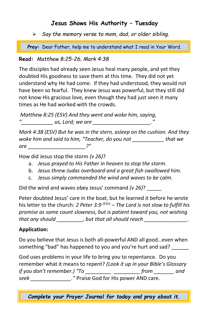## **Jesus Shows His Authority – Tuesday**

➢ *Say the memory verse to mom, dad, or older sibling.*

*Pray:* Dear Father, help me to understand what I read in Your Word. *Pray:* Dear Father, help me to understand what I read in Your Word.

### **Read:** *Matthew 8:25-26; Mark 4:38*

The disciples had already seen Jesus heal many people, and yet they doubted His goodness to save them at this time. They did not yet understand why He had come. If they had understood, they would not have been so fearful. They knew Jesus was powerful, but they still did not know His gracious love, even though they had just seen it many times as He had worked with the crowds.

*Matthew 8:25 (ESV) And they went and woke him, saying, "\_\_\_\_\_\_\_\_\_\_\_ us, Lord; we are \_\_\_\_\_\_\_\_\_\_\_\_\_\_\_\_\_\_\_\_."*

*Mark 4:38 (ESV) But he was in the stern, asleep on the cushion. And they woke him and said to him, "Teacher, do you not \_\_\_\_\_\_\_\_\_\_\_ that we are \_\_\_\_\_\_\_\_\_\_\_\_\_\_\_\_\_\_\_\_?"*

How did Jesus stop the storm *(v 26)*?

- a. *Jesus prayed to His Father in heaven to stop the storm.*
- b. *Jesus threw Judas overboard and a great fish swallowed him.*
- c. *Jesus simply commanded the wind and waves to be calm.*

Did the wind and waves obey Jesus' command *(v 26)*? \_\_\_\_\_

Peter doubted Jesus' care in the boat, but he learned it before he wrote his letter to the church: *2 Peter 3:9 (ESV)* – *The Lord is not slow to fulfill his promise as some count slowness, but is patient toward you, not wishing that any should \_\_\_\_\_\_\_\_\_, but that all should reach \_\_\_\_\_\_\_\_\_\_\_\_\_\_\_.* 

## **Application:**

Do you believe that Jesus is both all-powerful AND all good…even when something "bad" has happened to you and you're hurt and sad? \_\_\_\_\_\_

God uses problems in your life to bring you to repentance. Do you remember what it means to repent? *(Look it up in your Bible's Glossary if you don't remember.) "To \_\_\_\_\_\_\_\_\_ \_\_\_\_\_\_\_\_\_ from \_\_\_\_\_\_\_ and seek \_\_\_\_\_\_\_\_\_\_\_\_\_\_."* Praise God for His power AND care.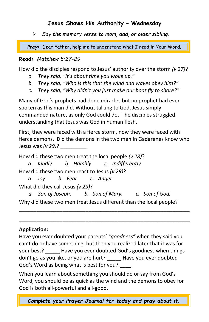### **Jesus Shows His Authority – Wednesday**

➢ *Say the memory verse to mom, dad, or older sibling.*

*Pray:* Dear Father, help me to understand what I read in Your Word. *Pray:* Dear Father, help me to understand what I read in Your Word.

#### **Read:** *Matthew 8:27-29*

How did the disciples respond to Jesus' authority over the storm *(v 27)*?

- *a. They said, "It's about time you woke up."*
- *b. They said, "Who is this that the wind and waves obey him?"*
- *c. They said, "Why didn't you just make our boat fly to shore?"*

Many of God's prophets had done miracles but no prophet had ever spoken as this man did. Without talking to God, Jesus simply commanded nature, as only God could do. The disciples struggled understanding that Jesus was God in human flesh.

First, they were faced with a fierce storm, now they were faced with fierce demons. Did the demons in the two men in Gadarenes know who Jesus was *(v 29)*? \_\_\_\_\_\_\_\_\_

How did these two men treat the local people *(v 28)*?

*a. Kindly b. Harshly c. Indifferently* How did these two men react to Jesus *(v 29)*?

*a. Joy b. Fear c. Anger* What did they call Jesus *(v 29)*?

*a. Son of Joseph. b. Son of Mary. c. Son of God.* Why did these two men treat Jesus different than the local people?

\_\_\_\_\_\_\_\_\_\_\_\_\_\_\_\_\_\_\_\_\_\_\_\_\_\_\_\_\_\_\_\_\_\_\_\_\_\_\_\_\_\_\_\_\_\_\_\_\_\_\_\_\_\_\_\_\_\_\_ \_\_\_\_\_\_\_\_\_\_\_\_\_\_\_\_\_\_\_\_\_\_\_\_\_\_\_\_\_\_\_\_\_\_\_\_\_\_\_\_\_\_\_\_\_\_\_\_\_\_\_\_\_\_\_\_\_\_\_

#### **Application:**

Have you ever doubted your parents' *"goodness"* when they said you can't do or have something, but then you realized later that it was for your best? \_\_\_\_\_ Have you ever doubted God's goodness when things don't go as you like, or you are hurt? \_\_\_\_\_ Have you ever doubted God's Word as being what is best for you? \_\_\_\_

When you learn about something you should do or say from God's Word, you should be as quick as the wind and the demons to obey for God is both all-powerful and all-good.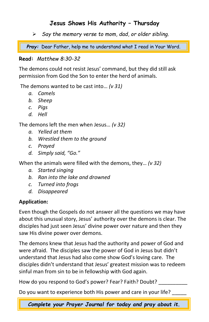## **Jesus Shows His Authority – Thursday**

➢ *Say the memory verse to mom, dad, or older sibling.*

*Pray:* Dear Father, help me to understand what I read in Your Word.

#### **Read:** *Matthew 8:30-32*

The demons could not resist Jesus' command, but they did still ask permission from God the Son to enter the herd of animals.

The demons wanted to be cast into… *(v 31)*

- *a. Camels*
- *b. Sheep*
- *c. Pigs*
- *d. Hell*

The demons left the men when Jesus… *(v 32)*

- *a. Yelled at them*
- *b. Wrestled them to the ground*
- *c. Prayed*
- *d. Simply said, "Go."*

When the animals were filled with the demons, they… *(v 32)*

- *a. Started singing*
- *b. Ran into the lake and drowned*
- *c. Turned into frogs*
- *d. Disappeared*

### **Application:**

Even though the Gospels do not answer all the questions we may have about this unusual story, Jesus' authority over the demons is clear. The disciples had just seen Jesus' divine power over nature and then they saw His divine power over demons.

The demons knew that Jesus had the authority and power of God and were afraid. The disciples saw the power of God in Jesus but didn't understand that Jesus had also come show God's loving care. The disciples didn't understand that Jesus' greatest mission was to redeem sinful man from sin to be in fellowship with God again.

How do you respond to God's power? Fear? Faith? Doubt? \_\_\_\_\_\_\_\_\_\_

Do you want to experience both His power and care in your life?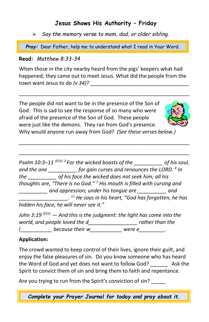## **Jesus Shows His Authority – Friday**

➢ *Say the memory verse to mom, dad, or older sibling.*

*Pray:* Dear Father, help me to understand what I read in Your Word.

#### **Read:** *Matthew 8:33-34*

When those in the city nearby heard from the pigs' keepers what had happened, they came out to meet Jesus. What did the people from the town want Jesus to do *(v 34)*?

\_\_\_\_\_\_\_\_\_\_\_\_\_\_\_\_\_\_\_\_\_\_\_\_\_\_\_\_\_\_\_\_\_\_\_\_\_\_\_\_\_\_\_\_\_\_\_\_\_\_\_\_\_\_\_\_\_\_\_

The people did not want to be in the presence of the Son of God. This is sad to see the response of so many who were afraid of the presence of the Son of God. These people were just like the demons. They ran from God's presence.



Why would anyone run away from God? *(See these verses below.)*

\_\_\_\_\_\_\_\_\_\_\_\_\_\_\_\_\_\_\_\_\_\_\_\_\_\_\_\_\_\_\_\_\_\_\_\_\_\_\_\_\_\_\_\_\_\_\_\_\_\_\_\_\_\_\_\_\_\_\_ \_\_\_\_\_\_\_\_\_\_\_\_\_\_\_\_\_\_\_\_\_\_\_\_\_\_\_\_\_\_\_\_\_\_\_\_\_\_\_\_\_\_\_\_\_\_\_\_\_\_\_\_\_\_\_\_\_\_\_

*Psalm 10:3–11 (ESV) <sup>3</sup>For the wicked boasts of the \_\_\_\_\_\_\_\_\_\_ of his soul, and the one \_\_\_\_\_\_\_\_\_\_ for gain curses and renounces the LORD. <sup>4</sup> In the \_\_\_\_\_\_\_\_\_\_ of his face the wicked does not seek him; all his thoughts are, "There is no God." <sup>7</sup> His mouth is filled with cursing and \_\_\_\_\_\_\_\_\_\_ and oppression; under his tongue are \_\_\_\_\_\_\_\_\_\_ and \_\_\_\_\_\_\_\_\_\_\_\_\_\_\_\_\_. <sup>11</sup> He says in his heart, "God has forgotten, he has hidden his face, he will never see it."*

*John 3:19 (ESV) — And this is the judgment: the light has come into the world, and people loved the d\_\_\_\_\_\_\_\_\_\_\_\_\_\_\_\_\_ rather than the l\_\_\_\_\_\_\_\_\_\_\_ because their w\_\_\_\_\_\_\_\_\_\_\_ were e\_\_\_\_\_\_\_\_\_.*

#### **Application:**

The crowd wanted to keep control of their lives, ignore their guilt, and enjoy the false pleasures of sin. Do you know someone who has heard the Word of God and yet does not want to follow God? \_\_\_\_\_\_ Ask the Spirit to convict them of sin and bring them to faith and repentance.

Are you trying to run from the Spirit's conviction of sin?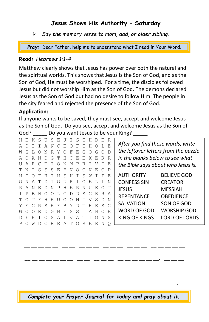### **Jesus Shows His Authority – Saturday**

➢ *Say the memory verse to mom, dad, or older sibling.*

*Pray:* Dear Father, help me to understand what I read in Your Word.

#### **Read:** *Hebrews 1:1-4*

Matthew clearly shows that Jesus has power over both the natural and the spiritual worlds. This shows that Jesus is the Son of God, and as the Son of God, He must be worshiped. For a time, the disciples followed Jesus but did not worship Him as the Son of God. The demons declared Jesus as the Son of God but had no desire to follow Him. The people in the city feared and rejected the presence of the Son of God.

#### **Application:**

If anyone wants to be saved, they must see, accept and welcome Jesus as the Son of God. Do you see, accept and welcome Jesus as the Son of God? Do you want Jesus to be your King?

| H E K             |        | S         | - U      | S E     |          | $\cdot$ . |               | S             |                 | H         |       |       | R            |                                        |  |  |  |  |
|-------------------|--------|-----------|----------|---------|----------|-----------|---------------|---------------|-----------------|-----------|-------|-------|--------------|----------------------------------------|--|--|--|--|
| A<br><sup>D</sup> |        | T.        |          | AN      | $\Gamma$ | E.        | ∩             | F             | T               | н         |       |       | E.           | After you find these words, write      |  |  |  |  |
| G<br>W            |        |           | N        | R       | Y        | ∩         | F             | E.            | G               | $\bigcap$ | G     | O D   |              | the leftover letters from the puzzle   |  |  |  |  |
| A O               | A      | N         | $\Gamma$ | G       |          |           | THCEEXERR     |               |                 |           |       |       |              | in the blanks below to see what        |  |  |  |  |
| IJ A R            |        | $\subset$ | - 77     |         | $\left($ | N         | М             |               | P R I           |           |       |       | E.           | the Bible says about who Jesus is.     |  |  |  |  |
| T N               | $\top$ |           | S S      | S E     |          | -F        | $\mathbf N$   | $\cap$ $\cap$ |                 | N         | E.    | ∩     | $\mathsf{P}$ |                                        |  |  |  |  |
| HТ                | ∩      | F         | H        | $\top$  | H        | S.        | K T S         |               |                 | M         |       |       | E.           | <b>AUTHORITY</b><br><b>BELIEVE GOD</b> |  |  |  |  |
| ∩<br>N            | A      | ጥ በ       |          | $\top$  | ∩        | U         | R T           |               | $\circ$         | E.        | T. T. |       | N            | <b>CONFESS SIN</b><br><b>CREATOR</b>   |  |  |  |  |
| R A N             |        | E.        | -D       | N       | P        | н         | E.            | R N           |                 | τī        | E.    |       | T            | JESUS<br><b>MESSIAH</b>                |  |  |  |  |
| T P               | B.     | H         | $\cap$   | $\circ$ | L.       | G         | $\mathcal{D}$ | D S G         |                 |           |       | R R A |              | <b>REPENTANCE</b><br><b>OBEDIENCE</b>  |  |  |  |  |
| T                 | T      | F         | н        | E.      |          |           | ∩             | N             |                 |           | S     |       | N            |                                        |  |  |  |  |
| Y F. G            |        |           |          | R S E F |          | B.        | Y             | DT.           |                 | н         |       | E S C |              | SALVATION<br>SON OF GOD                |  |  |  |  |
| M                 |        | R         | D        | G       | M        | E.        | S             | S.            | $\mathbb{I}$    | A         | H     |       | E.           | WORD OF GOD<br><b>WORSHIP GOD</b>      |  |  |  |  |
| Ð<br>F            | н      |           | ∩        | S.      | A        | T.V       |               | A             | T               |           |       | N     | S            | KING OF KINGS<br>LORD OF LORDS         |  |  |  |  |
| P O               | W      |           |          | R       | E.       | A         | <u>т</u>      | $\Omega$      | $R_{\parallel}$ | Е.        | R     |       | O            |                                        |  |  |  |  |

\_\_\_\_\_\_ \_\_ \_\_ \_\_ \_\_ \_\_ \_\_ \_\_ \_\_ \_\_ \_\_ \_\_ \_\_ \_\_ \_\_ \_\_ \_\_ \_\_ \_\_ \_\_ \_\_ \_\_ \_\_ \_\_ \_\_ \_\_ \_\_ \_\_, \_\_ \_\_ \_\_ \_\_ \_\_ \_\_ \_\_ \_\_ \_\_ \_ \_ \_ \_ \_ \_ \_ \_ \_ \_ \_\_ \_\_ \_\_ \_\_ \_\_ \_\_ \_\_ \_\_ \_\_ \_\_ \_\_ \_\_ \_\_ *Complete your Prayer Journal for today and pray about it.*

\_\_ \_\_ \_\_ \_\_ \_\_ \_\_ \_\_ \_\_ \_\_ \_\_ \_\_ \_\_ \_\_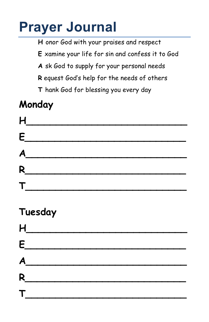# **Prayer Journal**

**H** onor God with your praises and respect

**E** xamine your life for sin and confess it to God

**A** sk God to supply for your personal needs

**R** equest God's help for the needs of others

**T** hank God for blessing you every day

# **Monday**



## **Tuesday**

|                | H                                                                                                                                                                                                                                                                                                                                                                                  |  |  |  |
|----------------|------------------------------------------------------------------------------------------------------------------------------------------------------------------------------------------------------------------------------------------------------------------------------------------------------------------------------------------------------------------------------------|--|--|--|
|                | $\epsilon$ and $\epsilon$ and $\epsilon$ and $\epsilon$ and $\epsilon$ and $\epsilon$ and $\epsilon$ and $\epsilon$ and $\epsilon$ and $\epsilon$ and $\epsilon$ and $\epsilon$ and $\epsilon$ and $\epsilon$ and $\epsilon$ and $\epsilon$ and $\epsilon$ and $\epsilon$ and $\epsilon$ and $\epsilon$ and $\epsilon$ and $\epsilon$ and $\epsilon$ and $\epsilon$ and $\epsilon$ |  |  |  |
|                | $\overline{A}$                                                                                                                                                                                                                                                                                                                                                                     |  |  |  |
| R              |                                                                                                                                                                                                                                                                                                                                                                                    |  |  |  |
| $\mathsf{T}_-$ |                                                                                                                                                                                                                                                                                                                                                                                    |  |  |  |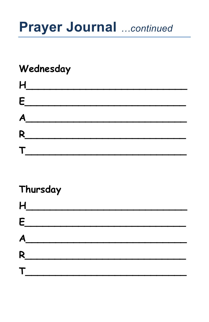# **Prayer Journal** ...continued

# Wednesday

|              | H                                                                                                                                                                                                                             |  |  |
|--------------|-------------------------------------------------------------------------------------------------------------------------------------------------------------------------------------------------------------------------------|--|--|
|              | $E$ and $E$ and $E$ and $E$ and $E$ and $E$ and $E$ and $E$ and $E$ and $E$ and $E$ and $E$ and $E$ and $E$ and $E$ and $E$ and $E$ and $E$ and $E$ and $E$ and $E$ and $E$ and $E$ and $E$ and $E$ and $E$ and $E$ and $E$ a |  |  |
|              | $\overline{A}$                                                                                                                                                                                                                |  |  |
|              | R                                                                                                                                                                                                                             |  |  |
| $\mathsf{T}$ |                                                                                                                                                                                                                               |  |  |

# Thursday

| $H_{\overline{a}}$ |                                                         |  |  |  |
|--------------------|---------------------------------------------------------|--|--|--|
| E__                |                                                         |  |  |  |
| A                  |                                                         |  |  |  |
|                    | <u> 1970 - Jan Stein Berlin, amerikansk politiker (</u> |  |  |  |
| $\mathsf T$        |                                                         |  |  |  |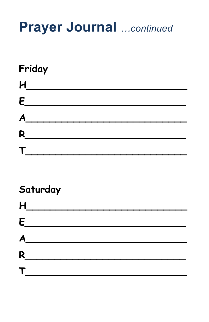# **Prayer Journal** ... continued

# Friday  $H$  $\epsilon$  $A$  $R$

# Saturday

|   | H                                                           |  |  |
|---|-------------------------------------------------------------|--|--|
|   | $\epsilon$ . The set of $\epsilon$ is the set of $\epsilon$ |  |  |
|   | $\overline{A}$                                              |  |  |
| R | <u> 1980 - Jan Barbara Barbara, m</u>                       |  |  |
| T |                                                             |  |  |